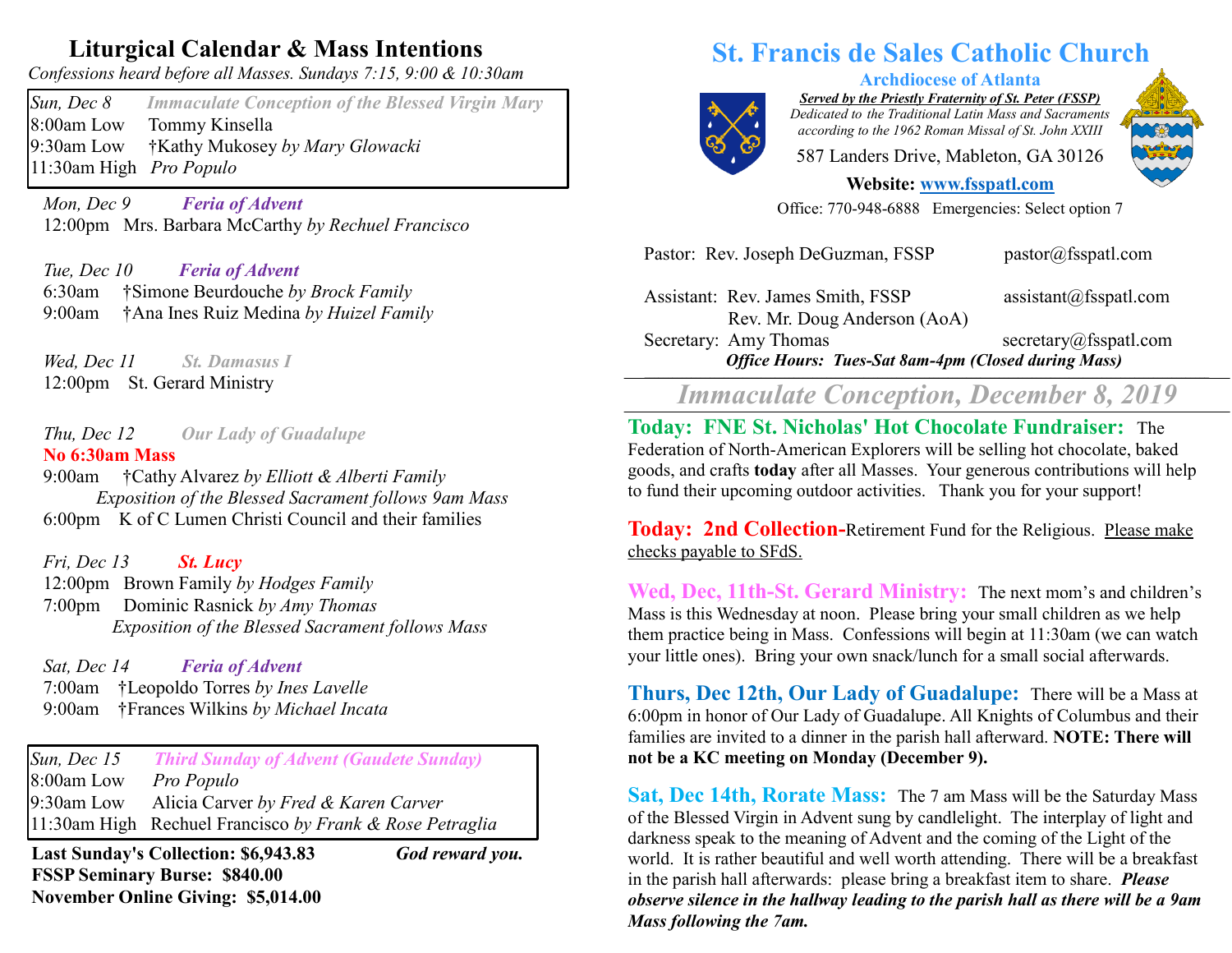## **Liturgical Calendar & Mass Intentions**

*Confessions heard before all Masses. Sundays 7:15, 9:00 & 10:30am*

*Sun, Dec 8 Immaculate Conception of the Blessed Virgin Mary* 8:00am Low Tommy Kinsella 9:30am Low †Kathy Mukosey *by Mary Glowacki* 11:30am High *Pro Populo* 

 *Mon, Dec 9 Feria of Advent*  12:00pm Mrs. Barbara McCarthy *by Rechuel Francisco*

 *Tue, Dec 10 Feria of Advent*  6:30am †Simone Beurdouche *by Brock Family* 9:00am †Ana Ines Ruiz Medina *by Huizel Family*

 *Wed, Dec 11 St. Damasus I* 12:00pm St. Gerard Ministry

 *Thu, Dec 12 Our Lady of Guadalupe* **No 6:30am Mass** 

9:00am †Cathy Alvarez *by Elliott & Alberti Family Exposition of the Blessed Sacrament follows 9am Mass* 6:00pm K of C Lumen Christi Council and their families

 *Fri, Dec 13 St. Lucy*  12:00pm Brown Family *by Hodges Family* 7:00pm Dominic Rasnick *by Amy Thomas Exposition of the Blessed Sacrament follows Mass*

*Sat, Dec 14 Feria of Advent*  7:00am †Leopoldo Torres *by Ines Lavelle* 9:00am †Frances Wilkins *by Michael Incata*

*Sun, Dec 15 Third Sunday of Advent (Gaudete Sunday)* 8:00am Low *Pro Populo*  9:30am Low Alicia Carver *by Fred & Karen Carver* 11:30am High Rechuel Francisco *by Frank & Rose Petraglia*

**Last Sunday's Collection: \$6,943.83** *God reward you.* **FSSP Seminary Burse: \$840.00 November Online Giving: \$5,014.00**

## **St. Francis de Sales Catholic Church**



*Served by the Priestly Fraternity of St. Peter (FSSP) Dedicated to the Traditional Latin Mass and Sacraments according to the 1962 Roman Missal of St. John XXIII*

**Archdiocese of Atlanta**

587 Landers Drive, Mableton, GA 30126

**Website: [www.fsspatl.com](http://www.fsspatl.com/)**

Office: 770-948-6888 Emergencies: Select option 7

Pastor: Rev. Joseph DeGuzman, FSSP pastor@fsspatl.com

Assistant: Rev. James Smith, FSSP assistant@fsspatl.com Rev. Mr. Doug Anderson (AoA) Secretary: Amy Thomas secretary@fsspatl.com

*Office Hours: Tues-Sat 8am-4pm (Closed during Mass)* **\_\_\_\_\_\_\_\_\_\_\_\_\_\_\_\_\_\_\_\_\_\_\_\_\_\_\_\_\_\_\_\_\_\_\_\_\_\_\_\_\_\_\_\_\_\_\_\_\_\_\_\_\_\_\_\_\_\_\_\_\_\_\_\_\_\_\_\_\_\_\_\_\_\_\_\_\_\_\_\_\_\_\_\_\_\_\_\_\_\_\_\_\_\_\_\_\_\_\_\_\_\_\_\_\_\_\_\_\_\_\_\_\_\_\_\_\_\_\_\_\_**

*Immaculate Conception, December 8, 2019*

**Today: FNE St. Nicholas' Hot Chocolate Fundraiser:** The Federation of North-American Explorers will be selling hot chocolate, baked goods, and crafts **today** after all Masses. Your generous contributions will help to fund their upcoming outdoor activities. Thank you for your support!

**Today: 2nd Collection-Retirement Fund for the Religious. Please make** checks payable to SFdS.

**Wed, Dec, 11th-St. Gerard Ministry:** The next mom's and children's Mass is this Wednesday at noon. Please bring your small children as we help them practice being in Mass. Confessions will begin at 11:30am (we can watch your little ones). Bring your own snack/lunch for a small social afterwards.

**Thurs, Dec 12th, Our Lady of Guadalupe:** There will be a Mass at 6:00pm in honor of Our Lady of Guadalupe. All Knights of Columbus and their families are invited to a dinner in the parish hall afterward. **NOTE: There will not be a KC meeting on Monday (December 9).**

**Sat, Dec 14th, Rorate Mass:** The 7 am Mass will be the Saturday Mass of the Blessed Virgin in Advent sung by candlelight. The interplay of light and darkness speak to the meaning of Advent and the coming of the Light of the world. It is rather beautiful and well worth attending. There will be a breakfast in the parish hall afterwards: please bring a breakfast item to share. *Please observe silence in the hallway leading to the parish hall as there will be a 9am Mass following the 7am.*